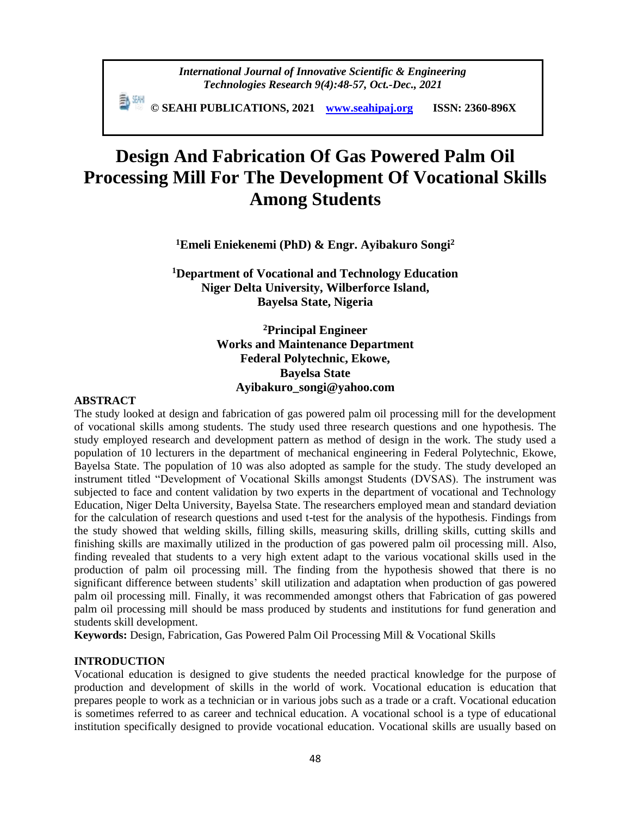*International Journal of Innovative Scientific & Engineering Technologies Research 9(4):48-57, Oct.-Dec., 2021*

 **© SEAHI PUBLICATIONS, 2021 [www.seahipaj.org](http://www.seahipaj.org/) ISSN: 2360-896X**

# **Design And Fabrication Of Gas Powered Palm Oil Processing Mill For The Development Of Vocational Skills Among Students**

**<sup>1</sup>Emeli Eniekenemi (PhD) & Engr. Ayibakuro Songi<sup>2</sup>**

**<sup>1</sup>Department of Vocational and Technology Education Niger Delta University, Wilberforce Island, Bayelsa State, Nigeria**

> **<sup>2</sup>Principal Engineer Works and Maintenance Department Federal Polytechnic, Ekowe, Bayelsa State Ayibakuro\_songi@yahoo.com**

#### **ABSTRACT**

The study looked at design and fabrication of gas powered palm oil processing mill for the development of vocational skills among students. The study used three research questions and one hypothesis. The study employed research and development pattern as method of design in the work. The study used a population of 10 lecturers in the department of mechanical engineering in Federal Polytechnic, Ekowe, Bayelsa State. The population of 10 was also adopted as sample for the study. The study developed an instrument titled "Development of Vocational Skills amongst Students (DVSAS). The instrument was subjected to face and content validation by two experts in the department of vocational and Technology Education, Niger Delta University, Bayelsa State. The researchers employed mean and standard deviation for the calculation of research questions and used t-test for the analysis of the hypothesis. Findings from the study showed that welding skills, filling skills, measuring skills, drilling skills, cutting skills and finishing skills are maximally utilized in the production of gas powered palm oil processing mill. Also, finding revealed that students to a very high extent adapt to the various vocational skills used in the production of palm oil processing mill. The finding from the hypothesis showed that there is no significant difference between students' skill utilization and adaptation when production of gas powered palm oil processing mill. Finally, it was recommended amongst others that Fabrication of gas powered palm oil processing mill should be mass produced by students and institutions for fund generation and students skill development.

**Keywords:** Design, Fabrication, Gas Powered Palm Oil Processing Mill & Vocational Skills

#### **INTRODUCTION**

Vocational education is designed to give students the needed practical knowledge for the purpose of production and development of skills in the world of work. Vocational education is education that prepares people to work as a technician or in various jobs such as a trade or a craft. Vocational education is sometimes referred to as career and technical education. A vocational school is a type of educational institution specifically designed to provide vocational education. Vocational skills are usually based on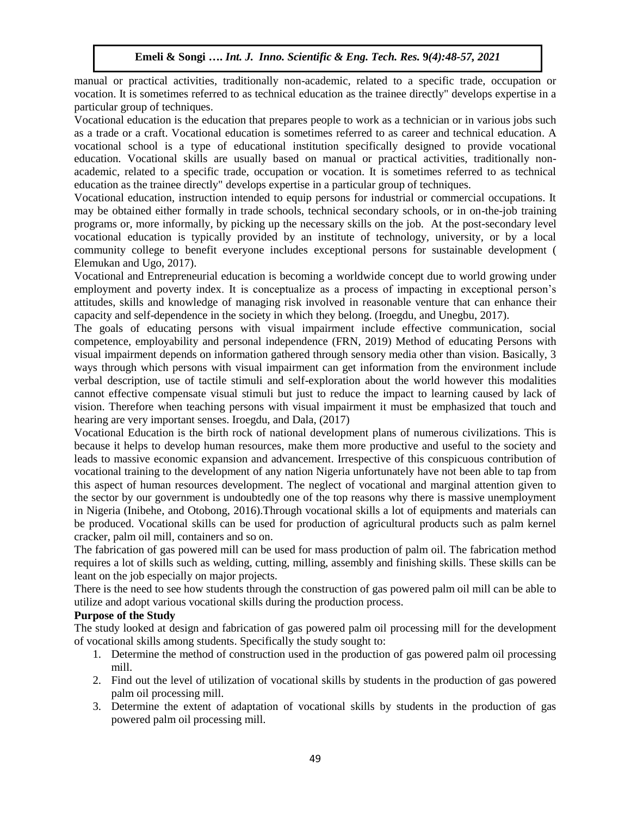manual or practical activities, traditionally non-academic, related to a specific trade, occupation or vocation. It is sometimes referred to as technical education as the trainee directly" develops expertise in a particular group of techniques.

Vocational education is the education that prepares people to work as a technician or in various jobs such as a trade or a craft. Vocational education is sometimes referred to as career and technical education. A vocational school is a type of educational institution specifically designed to provide vocational education. Vocational skills are usually based on manual or practical activities, traditionally nonacademic, related to a specific trade, occupation or vocation. It is sometimes referred to as technical education as the trainee directly" develops expertise in a particular group of techniques.

Vocational education, instruction intended to equip persons for industrial or commercial occupations. It may be obtained either formally in trade schools, technical secondary schools, or in on-the-job training programs or, more informally, by picking up the necessary skills on the job. At the post-secondary level vocational education is typically provided by an institute of technology, university, or by a local community college to benefit everyone includes exceptional persons for sustainable development ( Elemukan and Ugo, 2017).

Vocational and Entrepreneurial education is becoming a worldwide concept due to world growing under employment and poverty index. It is conceptualize as a process of impacting in exceptional person's attitudes, skills and knowledge of managing risk involved in reasonable venture that can enhance their capacity and self-dependence in the society in which they belong. (Iroegdu, and Unegbu, 2017).

The goals of educating persons with visual impairment include effective communication, social competence, employability and personal independence (FRN, 2019) Method of educating Persons with visual impairment depends on information gathered through sensory media other than vision. Basically, 3 ways through which persons with visual impairment can get information from the environment include verbal description, use of tactile stimuli and self-exploration about the world however this modalities cannot effective compensate visual stimuli but just to reduce the impact to learning caused by lack of vision. Therefore when teaching persons with visual impairment it must be emphasized that touch and hearing are very important senses. Iroegdu, and Dala, (2017)

Vocational Education is the birth rock of national development plans of numerous civilizations. This is because it helps to develop human resources, make them more productive and useful to the society and leads to massive economic expansion and advancement. Irrespective of this conspicuous contribution of vocational training to the development of any nation Nigeria unfortunately have not been able to tap from this aspect of human resources development. The neglect of vocational and marginal attention given to the sector by our government is undoubtedly one of the top reasons why there is massive unemployment in Nigeria (Inibehe, and Otobong, 2016).Through vocational skills a lot of equipments and materials can be produced. Vocational skills can be used for production of agricultural products such as palm kernel cracker, palm oil mill, containers and so on.

The fabrication of gas powered mill can be used for mass production of palm oil. The fabrication method requires a lot of skills such as welding, cutting, milling, assembly and finishing skills. These skills can be leant on the job especially on major projects.

There is the need to see how students through the construction of gas powered palm oil mill can be able to utilize and adopt various vocational skills during the production process.

# **Purpose of the Study**

The study looked at design and fabrication of gas powered palm oil processing mill for the development of vocational skills among students. Specifically the study sought to:

- 1. Determine the method of construction used in the production of gas powered palm oil processing mill.
- 2. Find out the level of utilization of vocational skills by students in the production of gas powered palm oil processing mill.
- 3. Determine the extent of adaptation of vocational skills by students in the production of gas powered palm oil processing mill.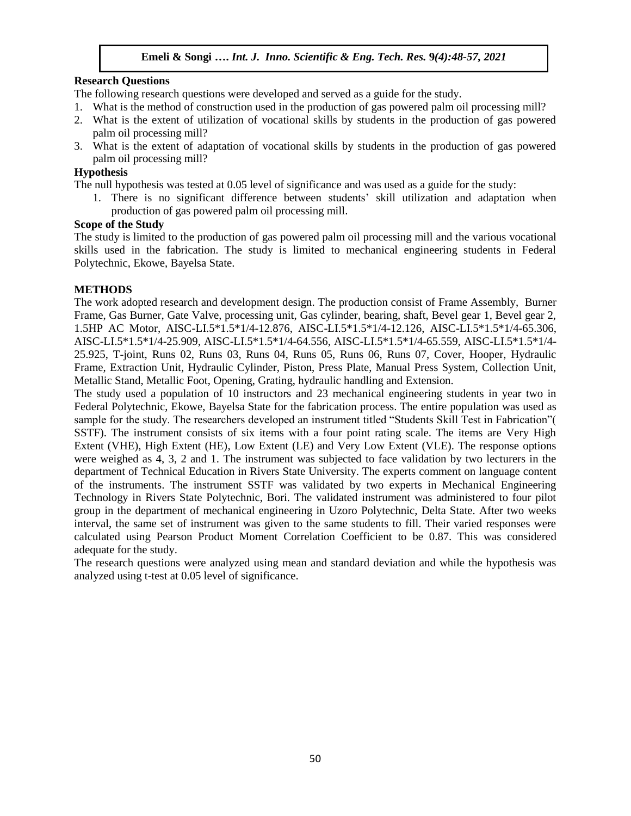## **Research Questions**

The following research questions were developed and served as a guide for the study.

- 1. What is the method of construction used in the production of gas powered palm oil processing mill?
- 2. What is the extent of utilization of vocational skills by students in the production of gas powered palm oil processing mill?
- 3. What is the extent of adaptation of vocational skills by students in the production of gas powered palm oil processing mill?

### **Hypothesis**

The null hypothesis was tested at 0.05 level of significance and was used as a guide for the study:

1. There is no significant difference between students' skill utilization and adaptation when production of gas powered palm oil processing mill.

### **Scope of the Study**

The study is limited to the production of gas powered palm oil processing mill and the various vocational skills used in the fabrication. The study is limited to mechanical engineering students in Federal Polytechnic, Ekowe, Bayelsa State.

### **METHODS**

The work adopted research and development design. The production consist of Frame Assembly, Burner Frame, Gas Burner, Gate Valve, processing unit, Gas cylinder, bearing, shaft, Bevel gear 1, Bevel gear 2, 1.5HP AC Motor, AISC-LI.5\*1.5\*1/4-12.876, AISC-LI.5\*1.5\*1/4-12.126, AISC-LI.5\*1.5\*1/4-65.306, AISC-LI.5\*1.5\*1/4-25.909, AISC-LI.5\*1.5\*1/4-64.556, AISC-LI.5\*1.5\*1/4-65.559, AISC-LI.5\*1.5\*1/4- 25.925, T-joint, Runs 02, Runs 03, Runs 04, Runs 05, Runs 06, Runs 07, Cover, Hooper, Hydraulic Frame, Extraction Unit, Hydraulic Cylinder, Piston, Press Plate, Manual Press System, Collection Unit, Metallic Stand, Metallic Foot, Opening, Grating, hydraulic handling and Extension.

The study used a population of 10 instructors and 23 mechanical engineering students in year two in Federal Polytechnic, Ekowe, Bayelsa State for the fabrication process. The entire population was used as sample for the study. The researchers developed an instrument titled "Students Skill Test in Fabrication"( SSTF). The instrument consists of six items with a four point rating scale. The items are Very High Extent (VHE), High Extent (HE), Low Extent (LE) and Very Low Extent (VLE). The response options were weighed as 4, 3, 2 and 1. The instrument was subjected to face validation by two lecturers in the department of Technical Education in Rivers State University. The experts comment on language content of the instruments. The instrument SSTF was validated by two experts in Mechanical Engineering Technology in Rivers State Polytechnic, Bori. The validated instrument was administered to four pilot group in the department of mechanical engineering in Uzoro Polytechnic, Delta State. After two weeks interval, the same set of instrument was given to the same students to fill. Their varied responses were calculated using Pearson Product Moment Correlation Coefficient to be 0.87. This was considered adequate for the study.

The research questions were analyzed using mean and standard deviation and while the hypothesis was analyzed using t-test at 0.05 level of significance.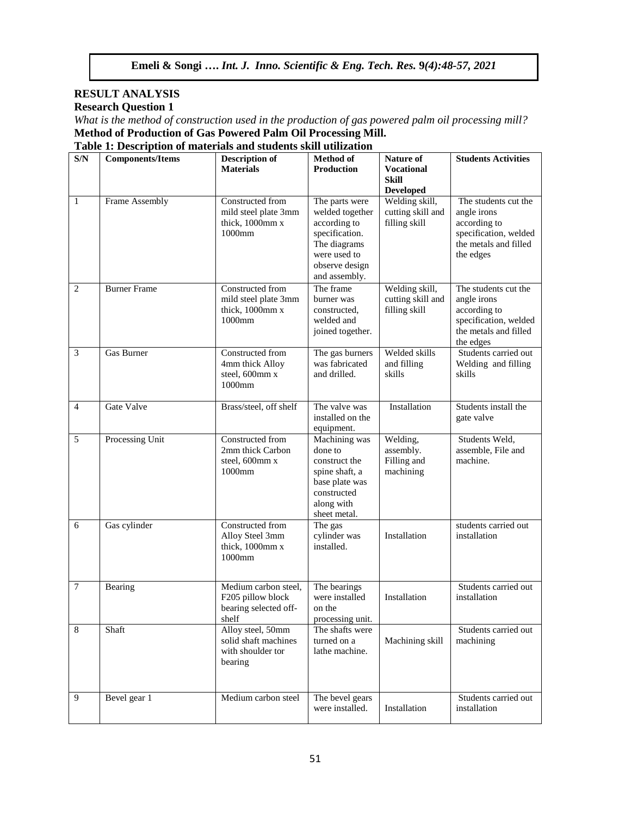# **RESULT ANALYSIS Research Question 1**

*What is the method of construction used in the production of gas powered palm oil processing mill?* **Method of Production of Gas Powered Palm Oil Processing Mill.**

**Table 1: Description of materials and students skill utilization**

| S/N            | <b>Components/Items</b> | <b>Description of</b><br><b>Materials</b>                                   | Method of<br><b>Production</b>                                                                                                         | <b>Nature of</b><br><b>Vocational</b><br>Skill<br><b>Developed</b> | <b>Students Activities</b>                                                                                         |
|----------------|-------------------------|-----------------------------------------------------------------------------|----------------------------------------------------------------------------------------------------------------------------------------|--------------------------------------------------------------------|--------------------------------------------------------------------------------------------------------------------|
| $\mathbf{1}$   | Frame Assembly          | Constructed from<br>mild steel plate 3mm<br>thick, 1000mm x<br>1000mm       | The parts were<br>welded together<br>according to<br>specification.<br>The diagrams<br>were used to<br>observe design<br>and assembly. | Welding skill,<br>cutting skill and<br>filling skill               | The students cut the<br>angle irons<br>according to<br>specification, welded<br>the metals and filled<br>the edges |
| $\overline{2}$ | <b>Burner Frame</b>     | Constructed from<br>mild steel plate 3mm<br>thick, 1000mm x<br>1000mm       | The frame<br>burner was<br>constructed,<br>welded and<br>joined together.                                                              | Welding skill,<br>cutting skill and<br>filling skill               | The students cut the<br>angle irons<br>according to<br>specification, welded<br>the metals and filled<br>the edges |
| 3              | Gas Burner              | Constructed from<br>4mm thick Alloy<br>steel, 600mm x<br>1000mm             | The gas burners<br>was fabricated<br>and drilled.                                                                                      | Welded skills<br>and filling<br>skills                             | Students carried out<br>Welding and filling<br>skills                                                              |
| $\overline{4}$ | Gate Valve              | Brass/steel, off shelf                                                      | The valve was<br>installed on the<br>equipment.                                                                                        | Installation                                                       | Students install the<br>gate valve                                                                                 |
| 5              | Processing Unit         | Constructed from<br>2mm thick Carbon<br>steel, 600mm x<br>$1000$ mm         | Machining was<br>done to<br>construct the<br>spine shaft, a<br>base plate was<br>constructed<br>along with<br>sheet metal.             | Welding,<br>assembly.<br>Filling and<br>machining                  | Students Weld,<br>assemble, File and<br>machine.                                                                   |
| 6              | Gas cylinder            | Constructed from<br>Alloy Steel 3mm<br>thick, 1000mm x<br>1000mm            | The gas<br>cylinder was<br>installed.                                                                                                  | Installation                                                       | students carried out<br>installation                                                                               |
| $\tau$         | Bearing                 | Medium carbon steel,<br>F205 pillow block<br>bearing selected off-<br>shelf | The bearings<br>were installed<br>on the<br>processing unit.                                                                           | Installation                                                       | Students carried out<br>installation                                                                               |
| 8              | Shaft                   | Alloy steel, 50mm<br>solid shaft machines<br>with shoulder tor<br>bearing   | The shafts were<br>turned on a<br>lathe machine.                                                                                       | Machining skill                                                    | Students carried out<br>machining                                                                                  |
| 9              | Bevel gear 1            | Medium carbon steel                                                         | The bevel gears<br>were installed.                                                                                                     | Installation                                                       | Students carried out<br>installation                                                                               |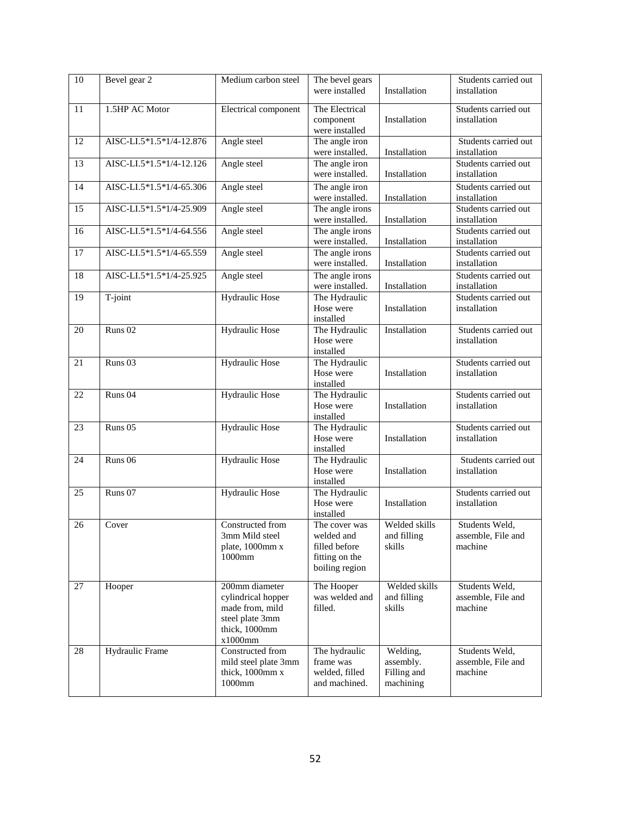| $\overline{10}$ | Bevel gear 2             | Medium carbon steel                                                                                    | The bevel gears<br>were installed                                                | Installation                                      | Students carried out<br>installation            |
|-----------------|--------------------------|--------------------------------------------------------------------------------------------------------|----------------------------------------------------------------------------------|---------------------------------------------------|-------------------------------------------------|
| 11              | 1.5HP AC Motor           | Electrical component                                                                                   | The Electrical<br>component<br>were installed                                    | Installation                                      | Students carried out<br>installation            |
| $\overline{12}$ | AISC-LI.5*1.5*1/4-12.876 | Angle steel                                                                                            | The angle iron<br>were installed.                                                | Installation                                      | Students carried out<br>installation            |
| $\overline{13}$ | AISC-LI.5*1.5*1/4-12.126 | Angle steel                                                                                            | The angle iron<br>were installed.                                                | Installation                                      | Students carried out<br>installation            |
| 14              | AISC-LI.5*1.5*1/4-65.306 | Angle steel                                                                                            | The angle iron<br>were installed.                                                | Installation                                      | Students carried out<br>installation            |
| 15              | AISC-LI.5*1.5*1/4-25.909 | Angle steel                                                                                            | The angle irons<br>were installed.                                               | Installation                                      | Students carried out<br>installation            |
| 16              | AISC-LI.5*1.5*1/4-64.556 | Angle steel                                                                                            | The angle irons<br>were installed.                                               | Installation                                      | Students carried out<br>installation            |
| $\overline{17}$ | AISC-LI.5*1.5*1/4-65.559 | Angle steel                                                                                            | The angle irons<br>were installed.                                               | Installation                                      | Students carried out<br>installation            |
| 18              | AISC-LI.5*1.5*1/4-25.925 | Angle steel                                                                                            | The angle irons<br>were installed.                                               | Installation                                      | Students carried out<br>installation            |
| 19              | T-joint                  | <b>Hydraulic Hose</b>                                                                                  | The Hydraulic<br>Hose were<br>installed                                          | Installation                                      | Students carried out<br>installation            |
| 20              | Runs <sub>02</sub>       | <b>Hydraulic Hose</b>                                                                                  | The Hydraulic<br>Hose were<br>installed                                          | Installation                                      | Students carried out<br>installation            |
| $\overline{21}$ | Runs <sub>03</sub>       | <b>Hydraulic Hose</b>                                                                                  | The Hydraulic<br>Hose were<br>installed                                          | Installation                                      | Students carried out<br>installation            |
| 22              | Runs <sub>04</sub>       | Hydraulic Hose                                                                                         | The Hydraulic<br>Hose were<br>installed                                          | Installation                                      | Students carried out<br>installation            |
| 23              | Runs <sub>05</sub>       | <b>Hydraulic Hose</b>                                                                                  | The Hydraulic<br>Hose were<br>installed                                          | Installation                                      | Students carried out<br>installation            |
| 24              | Runs <sub>06</sub>       | Hydraulic Hose                                                                                         | The Hydraulic<br>Hose were<br>installed                                          | Installation                                      | Students carried out<br>installation            |
| 25              | Runs 07                  | Hydraulic Hose                                                                                         | The Hydraulic<br>Hose were<br>installed                                          | Installation                                      | Students carried out<br>installation            |
| 26              | Cover                    | Constructed from<br>3mm Mild steel<br>plate, 1000mm x<br>1000mm                                        | The cover was<br>welded and<br>filled before<br>fitting on the<br>boiling region | Welded skills<br>and filling<br>skills            | Students Weld,<br>assemble, File and<br>machine |
| 27              | Hooper                   | 200mm diameter<br>cylindrical hopper<br>made from, mild<br>steel plate 3mm<br>thick, 1000mm<br>x1000mm | The Hooper<br>was welded and<br>filled.                                          | Welded skills<br>and filling<br>skills            | Students Weld,<br>assemble, File and<br>machine |
| 28              | <b>Hydraulic Frame</b>   | Constructed from<br>mild steel plate 3mm<br>thick, 1000mm x<br>1000mm                                  | The hydraulic<br>frame was<br>welded, filled<br>and machined.                    | Welding,<br>assembly.<br>Filling and<br>machining | Students Weld,<br>assemble, File and<br>machine |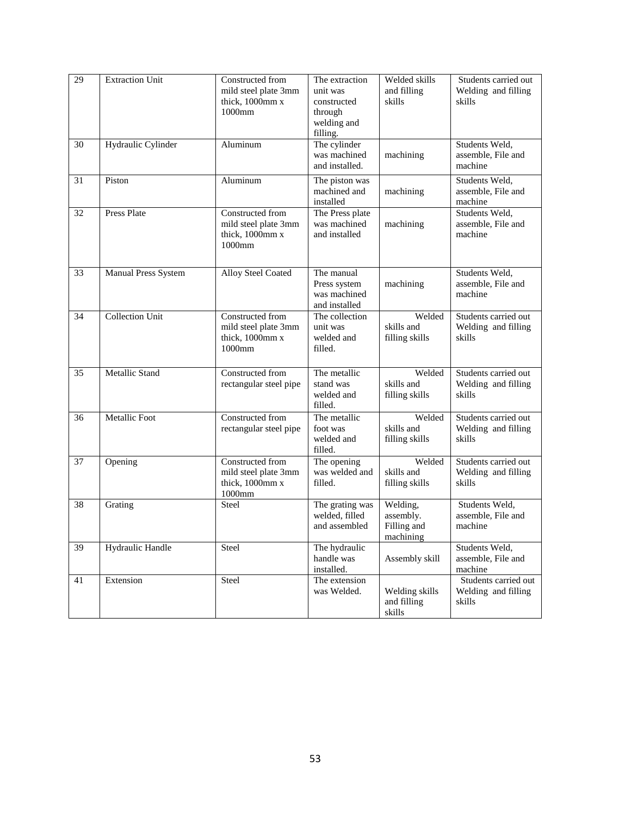| 29 | <b>Extraction Unit</b>  | Constructed from<br>mild steel plate 3mm<br>thick, 1000mm x<br>1000mm            | The extraction<br>unit was<br>constructed<br>through<br>welding and<br>filling. | Welded skills<br>and filling<br>skills            | Students carried out<br>Welding and filling<br>skills |
|----|-------------------------|----------------------------------------------------------------------------------|---------------------------------------------------------------------------------|---------------------------------------------------|-------------------------------------------------------|
| 30 | Hydraulic Cylinder      | Aluminum                                                                         | The cylinder<br>was machined<br>and installed.                                  | machining                                         | Students Weld,<br>assemble, File and<br>machine       |
| 31 | Piston                  | Aluminum                                                                         | The piston was<br>machined and<br>installed                                     | machining                                         | Students Weld,<br>assemble, File and<br>machine       |
| 32 | <b>Press Plate</b>      | Constructed from<br>mild steel plate 3mm<br>thick, 1000mm x<br>1000mm            | The Press plate<br>was machined<br>and installed                                | machining                                         | Students Weld,<br>assemble, File and<br>machine       |
| 33 | Manual Press System     | Alloy Steel Coated                                                               | The manual<br>Press system<br>was machined<br>and installed                     | machining                                         | Students Weld,<br>assemble, File and<br>machine       |
| 34 | <b>Collection Unit</b>  | Constructed from<br>mild steel plate 3mm<br>thick, 1000mm x<br>1000mm            | The collection<br>unit was<br>welded and<br>filled.                             | Welded<br>skills and<br>filling skills            | Students carried out<br>Welding and filling<br>skills |
| 35 | Metallic Stand          | Constructed from<br>rectangular steel pipe                                       | The metallic<br>stand was<br>welded and<br>filled.                              | Welded<br>skills and<br>filling skills            | Students carried out<br>Welding and filling<br>skills |
| 36 | <b>Metallic Foot</b>    | Constructed from<br>rectangular steel pipe                                       | The metallic<br>foot was<br>welded and<br>filled.                               | Welded<br>skills and<br>filling skills            | Students carried out<br>Welding and filling<br>skills |
| 37 | Opening                 | Constructed from<br>mild steel plate 3mm<br>thick, 1000mm x<br>$1000\mathrm{mm}$ | The opening<br>was welded and<br>filled.                                        | Welded<br>skills and<br>filling skills            | Students carried out<br>Welding and filling<br>skills |
| 38 | Grating                 | Steel                                                                            | The grating was<br>welded, filled<br>and assembled                              | Welding,<br>assembly.<br>Filling and<br>machining | Students Weld,<br>assemble, File and<br>machine       |
| 39 | <b>Hydraulic Handle</b> | Steel                                                                            | The hydraulic<br>handle was<br>installed.                                       | Assembly skill                                    | Students Weld,<br>assemble, File and<br>machine       |
| 41 | Extension               | Steel                                                                            | The extension<br>was Welded.                                                    | Welding skills<br>and filling<br>skills           | Students carried out<br>Welding and filling<br>skills |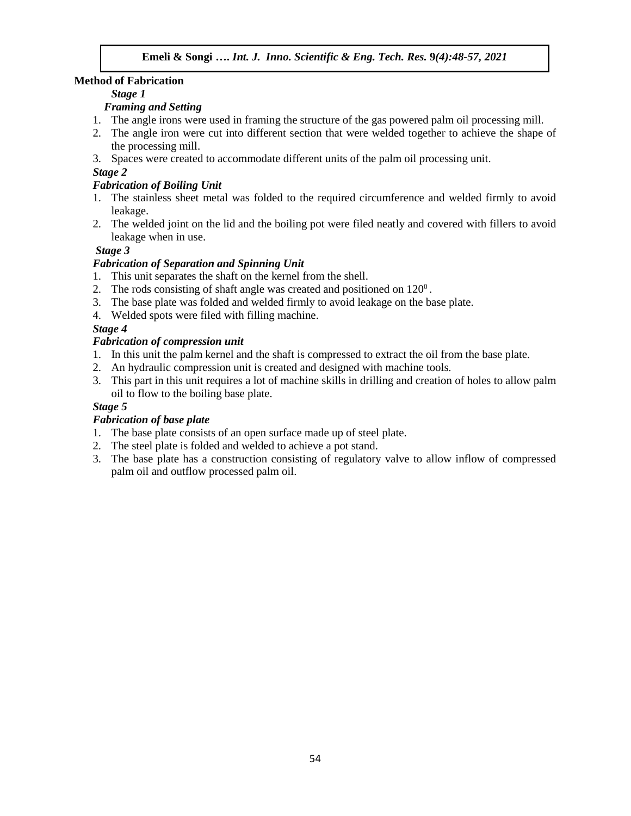### **Method of Fabrication**

### *Stage 1*

# *Framing and Setting*

- 1. The angle irons were used in framing the structure of the gas powered palm oil processing mill.
- 2. The angle iron were cut into different section that were welded together to achieve the shape of the processing mill.
- 3. Spaces were created to accommodate different units of the palm oil processing unit.

# *Stage 2*

# *Fabrication of Boiling Unit*

- 1. The stainless sheet metal was folded to the required circumference and welded firmly to avoid leakage.
- 2. The welded joint on the lid and the boiling pot were filed neatly and covered with fillers to avoid leakage when in use.

# *Stage 3*

# *Fabrication of Separation and Spinning Unit*

- 1. This unit separates the shaft on the kernel from the shell.
- 2. The rods consisting of shaft angle was created and positioned on  $120^{\circ}$ .
- 3. The base plate was folded and welded firmly to avoid leakage on the base plate.
- 4. Welded spots were filed with filling machine.

# *Stage 4*

# *Fabrication of compression unit*

- 1. In this unit the palm kernel and the shaft is compressed to extract the oil from the base plate.
- 2. An hydraulic compression unit is created and designed with machine tools.
- 3. This part in this unit requires a lot of machine skills in drilling and creation of holes to allow palm oil to flow to the boiling base plate.

# *Stage 5*

# *Fabrication of base plate*

- 1. The base plate consists of an open surface made up of steel plate.
- 2. The steel plate is folded and welded to achieve a pot stand.
- 3. The base plate has a construction consisting of regulatory valve to allow inflow of compressed palm oil and outflow processed palm oil.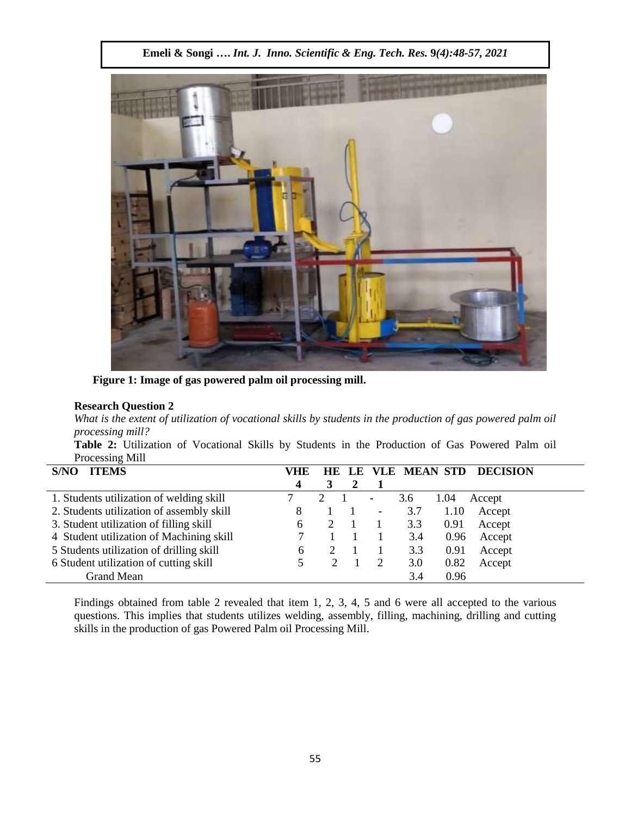

**Figure 1: Image of gas powered palm oil processing mill.**

# **Research Question 2**

*What is the extent of utilization of vocational skills by students in the production of gas powered palm oil processing mill?*

**Table 2:** Utilization of Vocational Skills by Students in the Production of Gas Powered Palm oil Processing Mill

| S/NO<br><b>ITEMS</b>                      | VHE | HE LE |                          |     | <b>VLE MEAN STD</b> | <b>DECISION</b> |
|-------------------------------------------|-----|-------|--------------------------|-----|---------------------|-----------------|
|                                           | 4   |       |                          |     |                     |                 |
| 1. Students utilization of welding skill  |     |       | $\overline{\phantom{a}}$ | 3.6 | 1.04                | Accept          |
| 2. Students utilization of assembly skill | 8   |       | $\overline{\phantom{a}}$ | 3.7 | 1.10                | Accept          |
| 3. Student utilization of filling skill   | 6   |       |                          | 3.3 | 0.91                | Accept          |
| 4 Student utilization of Machining skill  |     |       |                          | 3.4 | 0.96                | Accept          |
| 5 Students utilization of drilling skill  | 6   |       |                          | 3.3 | 0.91                | Accept          |
| 6 Student utilization of cutting skill    |     |       |                          | 3.0 | 0.82                | Accept          |
| Grand Mean                                |     |       |                          | 3.4 | 0.96                |                 |

Findings obtained from table 2 revealed that item 1, 2, 3, 4, 5 and 6 were all accepted to the various questions. This implies that students utilizes welding, assembly, filling, machining, drilling and cutting skills in the production of gas Powered Palm oil Processing Mill.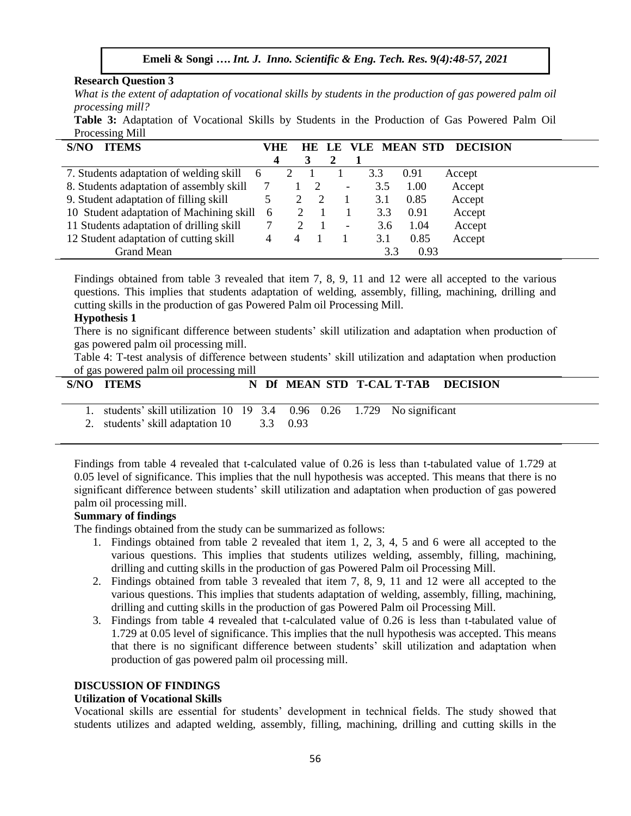### **Research Question 3**

What is the extent of adaptation of vocational skills by students in the production of gas powered palm oil *processing mill?*

**Table 3:** Adaptation of Vocational Skills by Students in the Production of Gas Powered Palm Oil Processing Mill

| S/NO<br><b>ITEMS</b>                     | VHE      |   | HE LE         |                          | VLE | <b>MEAN STD</b> | <b>DECISION</b> |
|------------------------------------------|----------|---|---------------|--------------------------|-----|-----------------|-----------------|
|                                          |          |   | 3             |                          |     |                 |                 |
| 7. Students adaptation of welding skill  | 6        |   |               |                          | 3.3 | 0.91            | Accept          |
| 8. Students adaptation of assembly skill |          |   | $\mathcal{D}$ | -                        | 3.5 | 1.00            | Accept          |
| 9. Student adaptation of filling skill   |          |   |               |                          | 3.1 | 0.85            | Accept          |
| 10 Student adaptation of Machining skill | $\sigma$ |   |               |                          | 3.3 | 0.91            | Accept          |
| 11 Students adaptation of drilling skill |          |   |               | $\overline{\phantom{0}}$ | 3.6 | 1.04            | Accept          |
| 12 Student adaptation of cutting skill   |          | 4 |               |                          | 3.1 | 0.85            | Accept          |
| <b>Grand Mean</b>                        |          |   |               |                          | 3.3 | 0.93            |                 |

Findings obtained from table 3 revealed that item 7, 8, 9, 11 and 12 were all accepted to the various questions. This implies that students adaptation of welding, assembly, filling, machining, drilling and cutting skills in the production of gas Powered Palm oil Processing Mill.

### **Hypothesis 1**

There is no significant difference between students' skill utilization and adaptation when production of gas powered palm oil processing mill.

Table 4: T-test analysis of difference between students' skill utilization and adaptation when production of gas powered palm oil processing mill

|  | S/NO ITEMS                                                              |  |  | N Df MEAN STD T-CAL T-TAB DECISION |  |
|--|-------------------------------------------------------------------------|--|--|------------------------------------|--|
|  | 1. students' skill utilization 10 19 3.4 0.96 0.26 1.729 No significant |  |  |                                    |  |
|  | 2. students' skill adaptation 10 3.3 0.93                               |  |  |                                    |  |
|  |                                                                         |  |  |                                    |  |

Findings from table 4 revealed that t-calculated value of 0.26 is less than t-tabulated value of 1.729 at 0.05 level of significance. This implies that the null hypothesis was accepted. This means that there is no significant difference between students' skill utilization and adaptation when production of gas powered palm oil processing mill.

### **Summary of findings**

The findings obtained from the study can be summarized as follows:

- 1. Findings obtained from table 2 revealed that item 1, 2, 3, 4, 5 and 6 were all accepted to the various questions. This implies that students utilizes welding, assembly, filling, machining, drilling and cutting skills in the production of gas Powered Palm oil Processing Mill.
- 2. Findings obtained from table 3 revealed that item 7, 8, 9, 11 and 12 were all accepted to the various questions. This implies that students adaptation of welding, assembly, filling, machining, drilling and cutting skills in the production of gas Powered Palm oil Processing Mill.
- 3. Findings from table 4 revealed that t-calculated value of 0.26 is less than t-tabulated value of 1.729 at 0.05 level of significance. This implies that the null hypothesis was accepted. This means that there is no significant difference between students' skill utilization and adaptation when production of gas powered palm oil processing mill.

### **DISCUSSION OF FINDINGS**

### **Utilization of Vocational Skills**

Vocational skills are essential for students' development in technical fields. The study showed that students utilizes and adapted welding, assembly, filling, machining, drilling and cutting skills in the